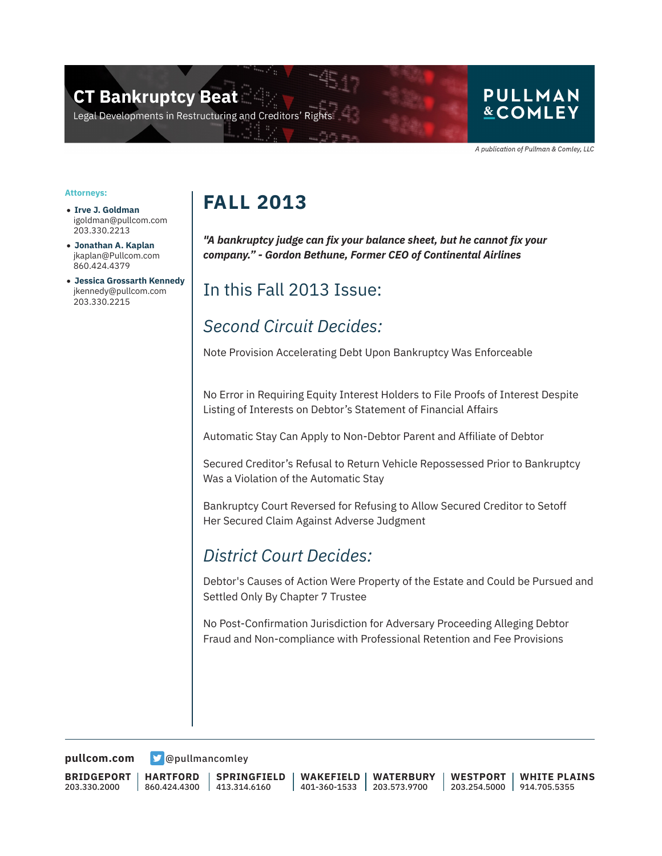### **CT Bankruptcy Beat**

Legal Developments in Restructuring and Creditors' Rig

#### **PULLMAN &COMLEY**

A publication of Pullman & Comley, LLC

#### **Attorneys:**

- **Irve J. Goldman** igoldman@pullcom.com 203.330.2213
- **Jonathan A. Kaplan** jkaplan@Pullcom.com 860.424.4379
- **Jessica Grossarth Kennedy** jkennedy@pullcom.com 203.330.2215

## **FALL 2013**

*"A bankruptcy judge can fix your balance sheet, but he cannot fix your company." - Gordon Bethune, Former CEO of Continental Airlines* 

### In this Fall 2013 Issue:

### *Second Circuit Decides:*

Note Provision Accelerating Debt Upon Bankruptcy Was Enforceable

No Error in Requiring Equity Interest Holders to File Proofs of Interest Despite Listing of Interests on Debtor's Statement of Financial Affairs

Automatic Stay Can Apply to Non-Debtor Parent and Affiliate of Debtor

Secured Creditor's Refusal to Return Vehicle Repossessed Prior to Bankruptcy Was a Violation of the Automatic Stay

Bankruptcy Court Reversed for Refusing to Allow Secured Creditor to Setoff Her Secured Claim Against Adverse Judgment

#### *District Court Decides:*

Debtor's Causes of Action Were Property of the Estate and Could be Pursued and Settled Only By Chapter 7 Trustee

No Post-Confirmation Jurisdiction for Adversary Proceeding Alleging Debtor Fraud and Non-compliance with Professional Retention and Fee Provisions

**[pullcom.com](https://www.pullcom.com) g** [@pullmancomley](https://twitter.com/PullmanComley)

**BRIDGEPORT** 203.330.2000

```
HARTFORD
860.424.4300
```
**SPRINGFIELD** 413.314.6160

**WAKEFIELD** 401-360-1533 **WATERBURY** 203.573.9700

**WESTPORT** 203.254.5000 914.705.5355 **WHITE PLAINS**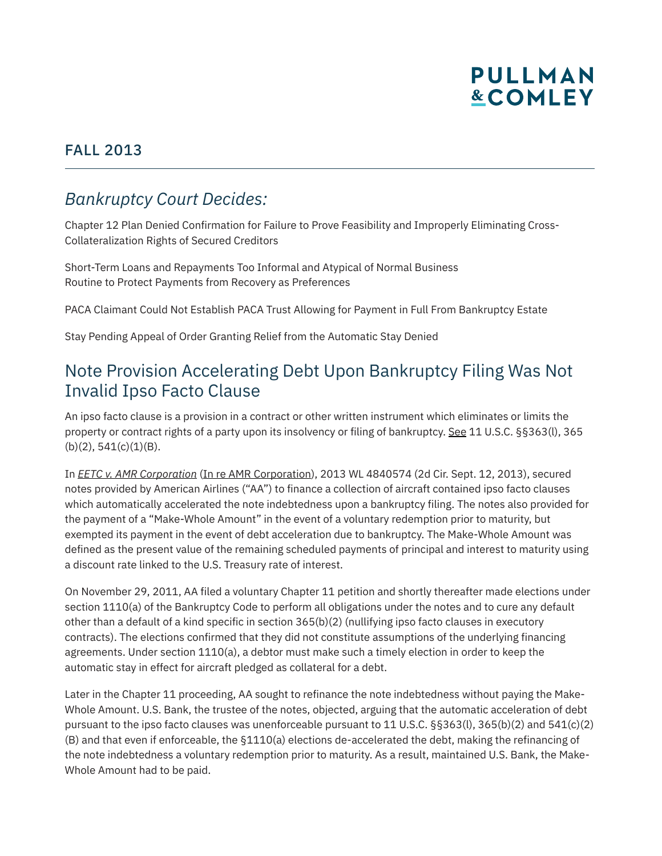

#### FALL 2013

#### *Bankruptcy Court Decides:*

Chapter 12 Plan Denied Confirmation for Failure to Prove Feasibility and Improperly Eliminating Cross-Collateralization Rights of Secured Creditors

Short-Term Loans and Repayments Too Informal and Atypical of Normal Business Routine to Protect Payments from Recovery as Preferences

PACA Claimant Could Not Establish PACA Trust Allowing for Payment in Full From Bankruptcy Estate

Stay Pending Appeal of Order Granting Relief from the Automatic Stay Denied

#### Note Provision Accelerating Debt Upon Bankruptcy Filing Was Not Invalid Ipso Facto Clause

An ipso facto clause is a provision in a contract or other written instrument which eliminates or limits the property or contract rights of a party upon its insolvency or filing of bankruptcy. See 11 U.S.C. §§363(l), 365  $(b)(2), 541(c)(1)(B).$ 

In *EETC v. AMR Corporation* (In re AMR Corporation), 2013 WL 4840574 (2d Cir. Sept. 12, 2013), secured notes provided by American Airlines ("AA") to finance a collection of aircraft contained ipso facto clauses which automatically accelerated the note indebtedness upon a bankruptcy filing. The notes also provided for the payment of a "Make-Whole Amount" in the event of a voluntary redemption prior to maturity, but exempted its payment in the event of debt acceleration due to bankruptcy. The Make-Whole Amount was defined as the present value of the remaining scheduled payments of principal and interest to maturity using a discount rate linked to the U.S. Treasury rate of interest.

On November 29, 2011, AA filed a voluntary Chapter 11 petition and shortly thereafter made elections under section 1110(a) of the Bankruptcy Code to perform all obligations under the notes and to cure any default other than a default of a kind specific in section 365(b)(2) (nullifying ipso facto clauses in executory contracts). The elections confirmed that they did not constitute assumptions of the underlying financing agreements. Under section 1110(a), a debtor must make such a timely election in order to keep the automatic stay in effect for aircraft pledged as collateral for a debt.

Later in the Chapter 11 proceeding, AA sought to refinance the note indebtedness without paying the Make-Whole Amount. U.S. Bank, the trustee of the notes, objected, arguing that the automatic acceleration of debt pursuant to the ipso facto clauses was unenforceable pursuant to 11 U.S.C. §§363(l), 365(b)(2) and 541(c)(2) (B) and that even if enforceable, the §1110(a) elections de-accelerated the debt, making the refinancing of the note indebtedness a voluntary redemption prior to maturity. As a result, maintained U.S. Bank, the Make-Whole Amount had to be paid.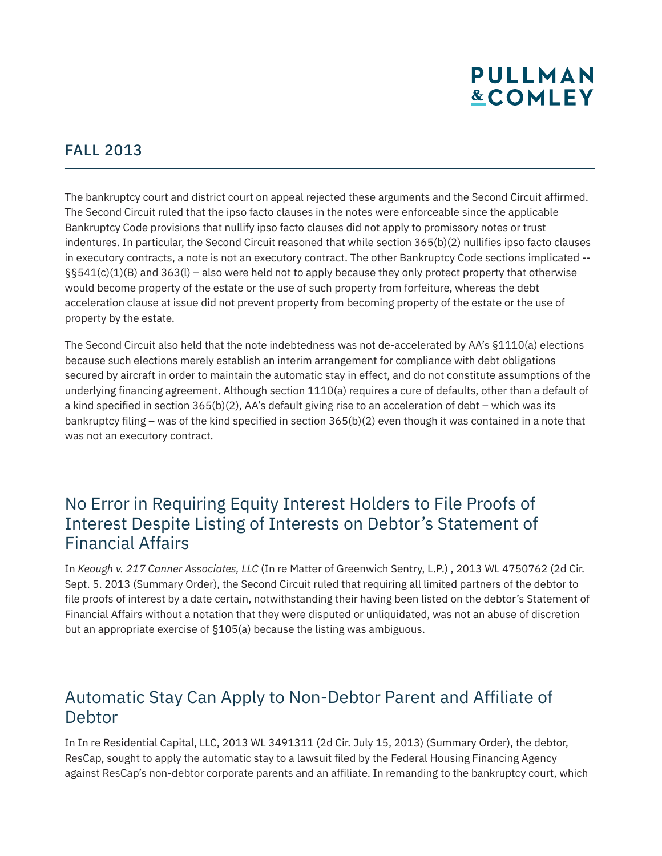#### FALL 2013

The bankruptcy court and district court on appeal rejected these arguments and the Second Circuit affirmed. The Second Circuit ruled that the ipso facto clauses in the notes were enforceable since the applicable Bankruptcy Code provisions that nullify ipso facto clauses did not apply to promissory notes or trust indentures. In particular, the Second Circuit reasoned that while section 365(b)(2) nullifies ipso facto clauses in executory contracts, a note is not an executory contract. The other Bankruptcy Code sections implicated --  $\S541(c)(1)(B)$  and  $363(l)$  – also were held not to apply because they only protect property that otherwise would become property of the estate or the use of such property from forfeiture, whereas the debt acceleration clause at issue did not prevent property from becoming property of the estate or the use of property by the estate.

The Second Circuit also held that the note indebtedness was not de-accelerated by AA's §1110(a) elections because such elections merely establish an interim arrangement for compliance with debt obligations secured by aircraft in order to maintain the automatic stay in effect, and do not constitute assumptions of the underlying financing agreement. Although section 1110(a) requires a cure of defaults, other than a default of a kind specified in section 365(b)(2), AA's default giving rise to an acceleration of debt – which was its bankruptcy filing – was of the kind specified in section 365(b)(2) even though it was contained in a note that was not an executory contract.

#### No Error in Requiring Equity Interest Holders to File Proofs of Interest Despite Listing of Interests on Debtor's Statement of Financial Affairs

In *Keough v. 217 Canner Associates, LLC* (In re Matter of Greenwich Sentry, L.P.) , 2013 WL 4750762 (2d Cir. Sept. 5. 2013 (Summary Order), the Second Circuit ruled that requiring all limited partners of the debtor to file proofs of interest by a date certain, notwithstanding their having been listed on the debtor's Statement of Financial Affairs without a notation that they were disputed or unliquidated, was not an abuse of discretion but an appropriate exercise of §105(a) because the listing was ambiguous.

#### Automatic Stay Can Apply to Non-Debtor Parent and Affiliate of **Debtor**

In In re Residential Capital, LLC, 2013 WL 3491311 (2d Cir. July 15, 2013) (Summary Order), the debtor, ResCap, sought to apply the automatic stay to a lawsuit filed by the Federal Housing Financing Agency against ResCap's non-debtor corporate parents and an affiliate. In remanding to the bankruptcy court, which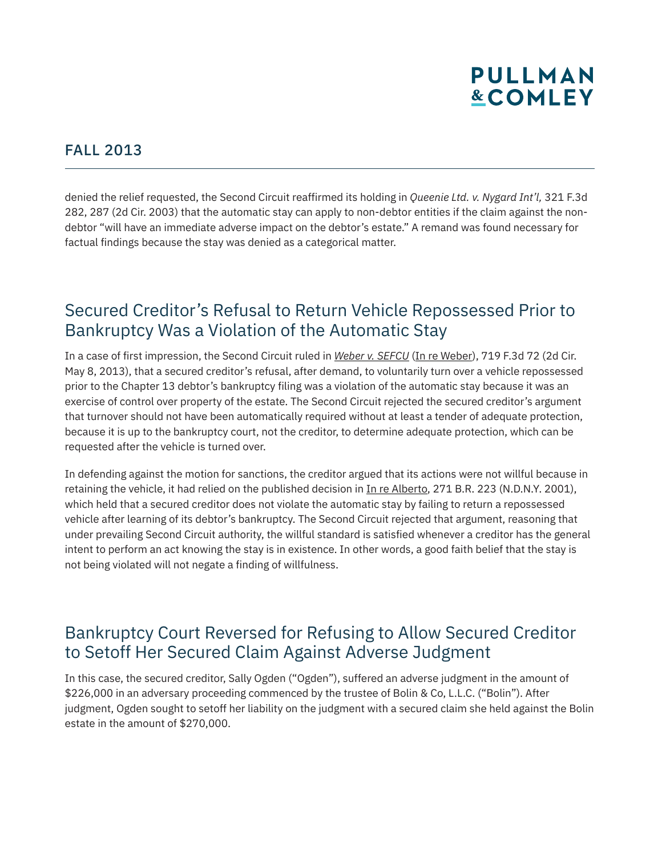#### FALL 2013

denied the relief requested, the Second Circuit reaffirmed its holding in *Queenie Ltd. v. Nygard Int'l,* 321 F.3d 282, 287 (2d Cir. 2003) that the automatic stay can apply to non-debtor entities if the claim against the nondebtor "will have an immediate adverse impact on the debtor's estate." A remand was found necessary for factual findings because the stay was denied as a categorical matter.

#### Secured Creditor's Refusal to Return Vehicle Repossessed Prior to Bankruptcy Was a Violation of the Automatic Stay

In a case of first impression, the Second Circuit ruled in *Weber v. SEFCU* (In re Weber), 719 F.3d 72 (2d Cir. May 8, 2013), that a secured creditor's refusal, after demand, to voluntarily turn over a vehicle repossessed prior to the Chapter 13 debtor's bankruptcy filing was a violation of the automatic stay because it was an exercise of control over property of the estate. The Second Circuit rejected the secured creditor's argument that turnover should not have been automatically required without at least a tender of adequate protection, because it is up to the bankruptcy court, not the creditor, to determine adequate protection, which can be requested after the vehicle is turned over.

In defending against the motion for sanctions, the creditor argued that its actions were not willful because in retaining the vehicle, it had relied on the published decision in In re Alberto, 271 B.R. 223 (N.D.N.Y. 2001), which held that a secured creditor does not violate the automatic stay by failing to return a repossessed vehicle after learning of its debtor's bankruptcy. The Second Circuit rejected that argument, reasoning that under prevailing Second Circuit authority, the willful standard is satisfied whenever a creditor has the general intent to perform an act knowing the stay is in existence. In other words, a good faith belief that the stay is not being violated will not negate a finding of willfulness.

#### Bankruptcy Court Reversed for Refusing to Allow Secured Creditor to Setoff Her Secured Claim Against Adverse Judgment

In this case, the secured creditor, Sally Ogden ("Ogden"), suffered an adverse judgment in the amount of \$226,000 in an adversary proceeding commenced by the trustee of Bolin & Co, L.L.C. ("Bolin"). After judgment, Ogden sought to setoff her liability on the judgment with a secured claim she held against the Bolin estate in the amount of \$270,000.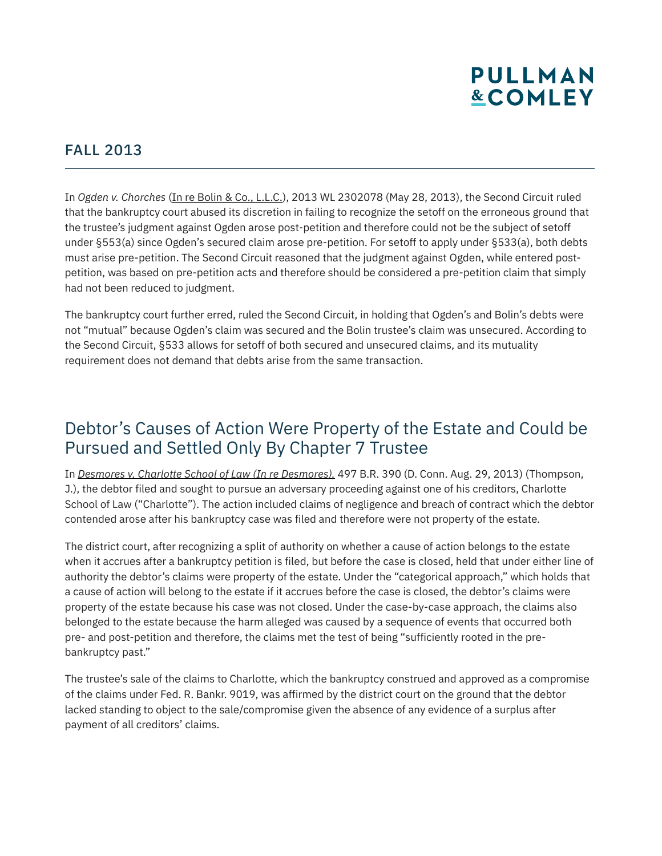#### FALL 2013

In *Ogden v. Chorches* (In re Bolin & Co., L.L.C.), 2013 WL 2302078 (May 28, 2013), the Second Circuit ruled that the bankruptcy court abused its discretion in failing to recognize the setoff on the erroneous ground that the trustee's judgment against Ogden arose post-petition and therefore could not be the subject of setoff under §553(a) since Ogden's secured claim arose pre-petition. For setoff to apply under §533(a), both debts must arise pre-petition. The Second Circuit reasoned that the judgment against Ogden, while entered postpetition, was based on pre-petition acts and therefore should be considered a pre-petition claim that simply had not been reduced to judgment.

The bankruptcy court further erred, ruled the Second Circuit, in holding that Ogden's and Bolin's debts were not "mutual" because Ogden's claim was secured and the Bolin trustee's claim was unsecured. According to the Second Circuit, §533 allows for setoff of both secured and unsecured claims, and its mutuality requirement does not demand that debts arise from the same transaction.

### Debtor's Causes of Action Were Property of the Estate and Could be Pursued and Settled Only By Chapter 7 Trustee

In *Desmores v. Charlotte School of Law (In re Desmores),* 497 B.R. 390 (D. Conn. Aug. 29, 2013) (Thompson, J.), the debtor filed and sought to pursue an adversary proceeding against one of his creditors, Charlotte School of Law ("Charlotte"). The action included claims of negligence and breach of contract which the debtor contended arose after his bankruptcy case was filed and therefore were not property of the estate.

The district court, after recognizing a split of authority on whether a cause of action belongs to the estate when it accrues after a bankruptcy petition is filed, but before the case is closed, held that under either line of authority the debtor's claims were property of the estate. Under the "categorical approach," which holds that a cause of action will belong to the estate if it accrues before the case is closed, the debtor's claims were property of the estate because his case was not closed. Under the case-by-case approach, the claims also belonged to the estate because the harm alleged was caused by a sequence of events that occurred both pre- and post-petition and therefore, the claims met the test of being "sufficiently rooted in the prebankruptcy past."

The trustee's sale of the claims to Charlotte, which the bankruptcy construed and approved as a compromise of the claims under Fed. R. Bankr. 9019, was affirmed by the district court on the ground that the debtor lacked standing to object to the sale/compromise given the absence of any evidence of a surplus after payment of all creditors' claims.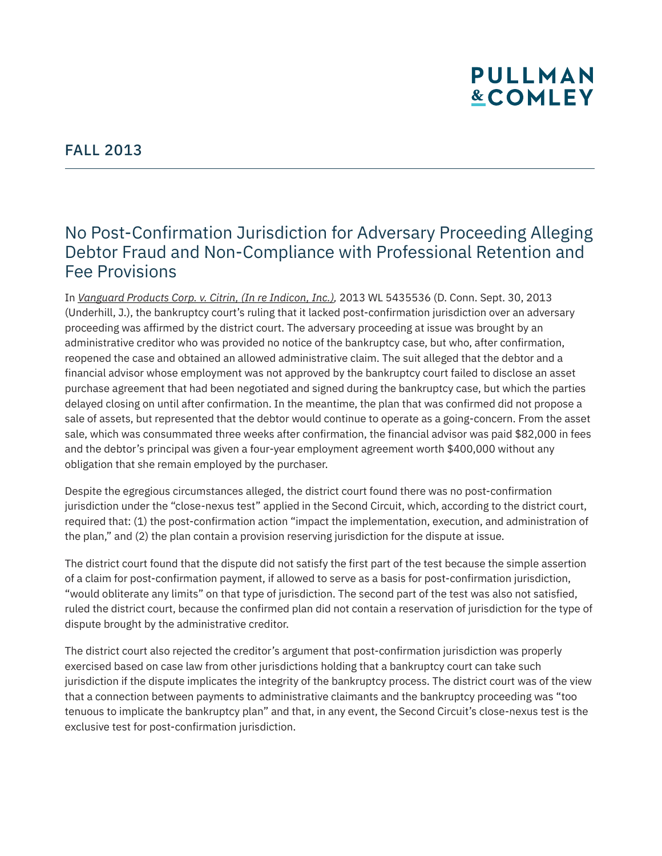### No Post-Confirmation Jurisdiction for Adversary Proceeding Alleging Debtor Fraud and Non-Compliance with Professional Retention and Fee Provisions

In *Vanguard Products Corp. v. Citrin, (In re Indicon, Inc.),* 2013 WL 5435536 (D. Conn. Sept. 30, 2013 (Underhill, J.), the bankruptcy court's ruling that it lacked post-confirmation jurisdiction over an adversary proceeding was affirmed by the district court. The adversary proceeding at issue was brought by an administrative creditor who was provided no notice of the bankruptcy case, but who, after confirmation, reopened the case and obtained an allowed administrative claim. The suit alleged that the debtor and a financial advisor whose employment was not approved by the bankruptcy court failed to disclose an asset purchase agreement that had been negotiated and signed during the bankruptcy case, but which the parties delayed closing on until after confirmation. In the meantime, the plan that was confirmed did not propose a sale of assets, but represented that the debtor would continue to operate as a going-concern. From the asset sale, which was consummated three weeks after confirmation, the financial advisor was paid \$82,000 in fees and the debtor's principal was given a four-year employment agreement worth \$400,000 without any obligation that she remain employed by the purchaser.

Despite the egregious circumstances alleged, the district court found there was no post-confirmation jurisdiction under the "close-nexus test" applied in the Second Circuit, which, according to the district court, required that: (1) the post-confirmation action "impact the implementation, execution, and administration of the plan," and (2) the plan contain a provision reserving jurisdiction for the dispute at issue.

The district court found that the dispute did not satisfy the first part of the test because the simple assertion of a claim for post-confirmation payment, if allowed to serve as a basis for post-confirmation jurisdiction, "would obliterate any limits" on that type of jurisdiction. The second part of the test was also not satisfied, ruled the district court, because the confirmed plan did not contain a reservation of jurisdiction for the type of dispute brought by the administrative creditor.

The district court also rejected the creditor's argument that post-confirmation jurisdiction was properly exercised based on case law from other jurisdictions holding that a bankruptcy court can take such jurisdiction if the dispute implicates the integrity of the bankruptcy process. The district court was of the view that a connection between payments to administrative claimants and the bankruptcy proceeding was "too tenuous to implicate the bankruptcy plan" and that, in any event, the Second Circuit's close-nexus test is the exclusive test for post-confirmation jurisdiction.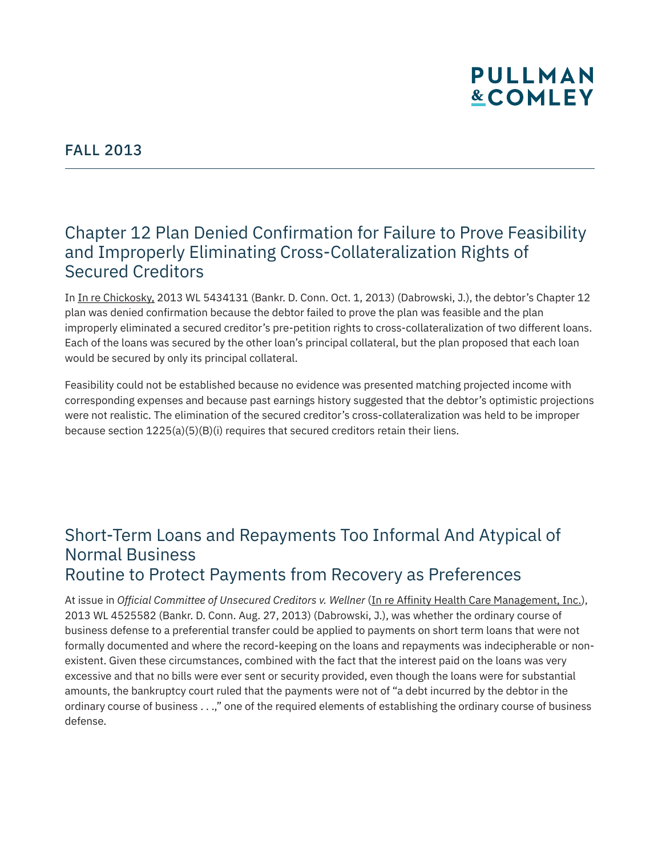### Chapter 12 Plan Denied Confirmation for Failure to Prove Feasibility and Improperly Eliminating Cross-Collateralization Rights of Secured Creditors

In In re Chickosky, 2013 WL 5434131 (Bankr. D. Conn. Oct. 1, 2013) (Dabrowski, J.), the debtor's Chapter 12 plan was denied confirmation because the debtor failed to prove the plan was feasible and the plan improperly eliminated a secured creditor's pre-petition rights to cross-collateralization of two different loans. Each of the loans was secured by the other loan's principal collateral, but the plan proposed that each loan would be secured by only its principal collateral.

Feasibility could not be established because no evidence was presented matching projected income with corresponding expenses and because past earnings history suggested that the debtor's optimistic projections were not realistic. The elimination of the secured creditor's cross-collateralization was held to be improper because section  $1225(a)(5)(B)(i)$  requires that secured creditors retain their liens.

#### Short-Term Loans and Repayments Too Informal And Atypical of Normal Business Routine to Protect Payments from Recovery as Preferences

At issue in *Official Committee of Unsecured Creditors v. Wellner* (*In re Affinity Health Care Management, Inc.*), 2013 WL 4525582 (Bankr. D. Conn. Aug. 27, 2013) (Dabrowski, J.), was whether the ordinary course of business defense to a preferential transfer could be applied to payments on short term loans that were not formally documented and where the record-keeping on the loans and repayments was indecipherable or nonexistent. Given these circumstances, combined with the fact that the interest paid on the loans was very excessive and that no bills were ever sent or security provided, even though the loans were for substantial amounts, the bankruptcy court ruled that the payments were not of "a debt incurred by the debtor in the ordinary course of business . . .," one of the required elements of establishing the ordinary course of business defense.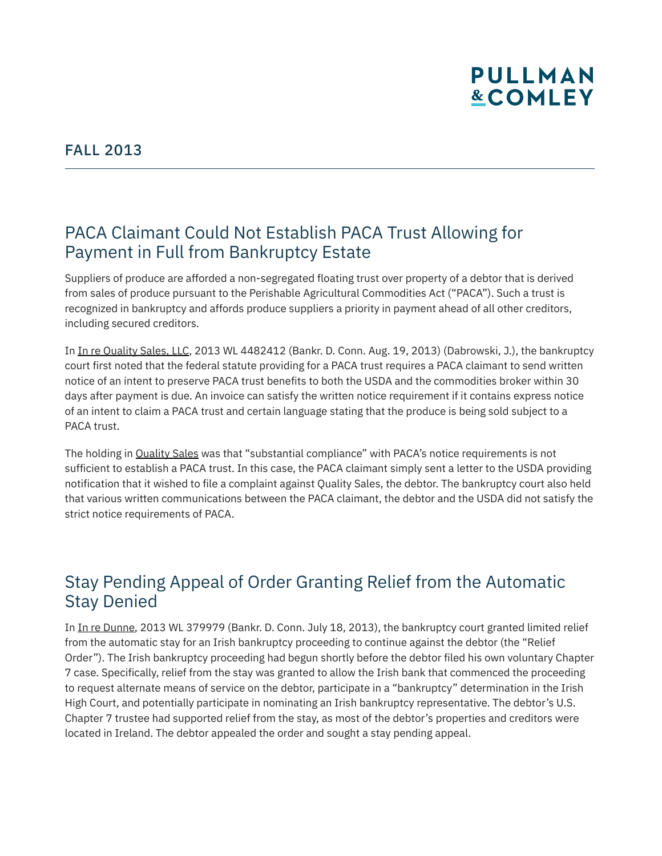

### PACA Claimant Could Not Establish PACA Trust Allowing for Payment in Full from Bankruptcy Estate

Suppliers of produce are afforded a non-segregated floating trust over property of a debtor that is derived from sales of produce pursuant to the Perishable Agricultural Commodities Act ("PACA"). Such a trust is recognized in bankruptcy and affords produce suppliers a priority in payment ahead of all other creditors, including secured creditors.

In In re Quality Sales, LLC, 2013 WL 4482412 (Bankr. D. Conn. Aug. 19, 2013) (Dabrowski, J.), the bankruptcy court first noted that the federal statute providing for a PACA trust requires a PACA claimant to send written notice of an intent to preserve PACA trust benefits to both the USDA and the commodities broker within 30 days after payment is due. An invoice can satisfy the written notice requirement if it contains express notice of an intent to claim a PACA trust and certain language stating that the produce is being sold subject to a PACA trust.

The holding in Quality Sales was that "substantial compliance" with PACA's notice requirements is not sufficient to establish a PACA trust. In this case, the PACA claimant simply sent a letter to the USDA providing notification that it wished to file a complaint against Quality Sales, the debtor. The bankruptcy court also held that various written communications between the PACA claimant, the debtor and the USDA did not satisfy the strict notice requirements of PACA.

### Stay Pending Appeal of Order Granting Relief from the Automatic Stay Denied

In In re Dunne, 2013 WL 379979 (Bankr. D. Conn. July 18, 2013), the bankruptcy court granted limited relief from the automatic stay for an Irish bankruptcy proceeding to continue against the debtor (the "Relief Order"). The Irish bankruptcy proceeding had begun shortly before the debtor filed his own voluntary Chapter 7 case. Specifically, relief from the stay was granted to allow the Irish bank that commenced the proceeding to request alternate means of service on the debtor, participate in a "bankruptcy" determination in the Irish High Court, and potentially participate in nominating an Irish bankruptcy representative. The debtor's U.S. Chapter 7 trustee had supported relief from the stay, as most of the debtor's properties and creditors were located in Ireland. The debtor appealed the order and sought a stay pending appeal.